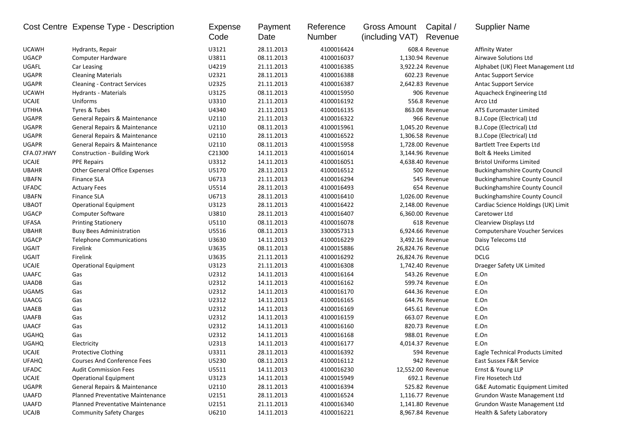|              | Cost Centre Expense Type - Description  | Expense<br>Code | Payment<br>Date | Reference<br>Number | Gross Amount<br>(including VAT) | Capital /<br>Revenue | <b>Supplier Name</b>                  |
|--------------|-----------------------------------------|-----------------|-----------------|---------------------|---------------------------------|----------------------|---------------------------------------|
| <b>UCAWH</b> | Hydrants, Repair                        | U3121           | 28.11.2013      | 4100016424          |                                 | 608.4 Revenue        | <b>Affinity Water</b>                 |
| <b>UGACP</b> | <b>Computer Hardware</b>                | U3811           | 08.11.2013      | 4100016037          |                                 | 1,130.94 Revenue     | Airwave Solutions Ltd                 |
| UGAFL        | Car Leasing                             | U4219           | 21.11.2013      | 4100016385          |                                 | 3,922.24 Revenue     | Alphabet (UK) Fleet Management Ltd    |
| <b>UGAPR</b> | <b>Cleaning Materials</b>               | U2321           | 28.11.2013      | 4100016388          |                                 | 602.23 Revenue       | Antac Support Service                 |
| <b>UGAPR</b> | <b>Cleaning - Contract Services</b>     | U2325           | 21.11.2013      | 4100016387          |                                 | 2,642.83 Revenue     | <b>Antac Support Service</b>          |
| <b>UCAWH</b> | Hydrants - Materials                    | U3125           | 08.11.2013      | 4100015950          |                                 | 906 Revenue          | Aquacheck Engineering Ltd             |
| <b>UCAJE</b> | Uniforms                                | U3310           | 21.11.2013      | 4100016192          |                                 | 556.8 Revenue        | Arco Ltd                              |
| <b>UTHHA</b> | Tyres & Tubes                           | U4340           | 21.11.2013      | 4100016135          |                                 | 863.08 Revenue       | ATS Euromaster Limited                |
| <b>UGAPR</b> | General Repairs & Maintenance           | U2110           | 21.11.2013      | 4100016322          |                                 | 966 Revenue          | B.J.Cope (Electrical) Ltd             |
| <b>UGAPR</b> | General Repairs & Maintenance           | U2110           | 08.11.2013      | 4100015961          |                                 | 1,045.20 Revenue     | B.J.Cope (Electrical) Ltd             |
| <b>UGAPR</b> | General Repairs & Maintenance           | U2110           | 28.11.2013      | 4100016522          |                                 | 1,306.58 Revenue     | B.J.Cope (Electrical) Ltd             |
| <b>UGAPR</b> | General Repairs & Maintenance           | U2110           | 08.11.2013      | 4100015958          |                                 | 1,728.00 Revenue     | <b>Bartlett Tree Experts Ltd</b>      |
| CFA.07.HWY   | Construction - Building Work            | C21300          | 14.11.2013      | 4100016014          |                                 | 3,144.96 Revenue     | <b>Bolt &amp; Heeks Limited</b>       |
| <b>UCAJE</b> | <b>PPE Repairs</b>                      | U3312           | 14.11.2013      | 4100016051          |                                 | 4,638.40 Revenue     | <b>Bristol Uniforms Limited</b>       |
| <b>UBAHR</b> | <b>Other General Office Expenses</b>    | U5170           | 28.11.2013      | 4100016512          |                                 | 500 Revenue          | <b>Buckinghamshire County Council</b> |
| <b>UBAFN</b> | <b>Finance SLA</b>                      | U6713           | 21.11.2013      | 4100016294          |                                 | 545 Revenue          | <b>Buckinghamshire County Council</b> |
| <b>UFADC</b> | <b>Actuary Fees</b>                     | U5514           | 28.11.2013      | 4100016493          |                                 | 654 Revenue          | <b>Buckinghamshire County Council</b> |
| <b>UBAFN</b> | <b>Finance SLA</b>                      | U6713           | 28.11.2013      | 4100016410          |                                 | 1,026.00 Revenue     | <b>Buckinghamshire County Council</b> |
| <b>UBAOT</b> | <b>Operational Equipment</b>            | U3123           | 28.11.2013      | 4100016422          |                                 | 2,148.00 Revenue     | Cardiac Science Holdings (UK) Limit   |
| <b>UGACP</b> | Computer Software                       | U3810           | 28.11.2013      | 4100016407          |                                 | 6,360.00 Revenue     | Caretower Ltd                         |
| <b>UFASA</b> | <b>Printing Stationery</b>              | U5110           | 08.11.2013      | 4100016078          |                                 | 618 Revenue          | Clearview Displays Ltd                |
| <b>UBAHR</b> | <b>Busy Bees Administration</b>         | U5516           | 08.11.2013      | 3300057313          |                                 | 6,924.66 Revenue     | <b>Computershare Voucher Services</b> |
| <b>UGACP</b> | <b>Telephone Communications</b>         | U3630           | 14.11.2013      | 4100016229          |                                 | 3,492.16 Revenue     | Daisy Telecoms Ltd                    |
| <b>UGAIT</b> | Firelink                                | U3635           | 08.11.2013      | 4100015886          |                                 | 26,824.76 Revenue    | <b>DCLG</b>                           |
| <b>UGAIT</b> | Firelink                                | U3635           | 21.11.2013      | 4100016292          |                                 | 26,824.76 Revenue    | <b>DCLG</b>                           |
| <b>UCAJE</b> | <b>Operational Equipment</b>            | U3123           | 21.11.2013      | 4100016308          |                                 | 1,742.40 Revenue     | Draeger Safety UK Limited             |
| <b>UAAFC</b> | Gas                                     | U2312           | 14.11.2013      | 4100016164          |                                 | 543.26 Revenue       | E.On                                  |
| <b>UAADB</b> | Gas                                     | U2312           | 14.11.2013      | 4100016162          |                                 | 599.74 Revenue       | E.On                                  |
| <b>UGAMS</b> | Gas                                     | U2312           | 14.11.2013      | 4100016170          |                                 | 644.36 Revenue       | E.On                                  |
| <b>UAACG</b> | Gas                                     | U2312           | 14.11.2013      | 4100016165          |                                 | 644.76 Revenue       | E.On                                  |
| <b>UAAEB</b> | Gas                                     | U2312           | 14.11.2013      | 4100016169          |                                 | 645.61 Revenue       | E.On                                  |
| <b>UAAFB</b> | Gas                                     | U2312           | 14.11.2013      | 4100016159          |                                 | 663.07 Revenue       | E.On                                  |
| <b>UAACF</b> | Gas                                     | U2312           | 14.11.2013      | 4100016160          |                                 | 820.73 Revenue       | E.On                                  |
| <b>UGAHQ</b> | Gas                                     | U2312           | 14.11.2013      | 4100016168          |                                 | 988.01 Revenue       | E.On                                  |
| <b>UGAHQ</b> | Electricity                             | U2313           | 14.11.2013      | 4100016177          |                                 | 4,014.37 Revenue     | E.On                                  |
| <b>UCAJE</b> | Protective Clothing                     | U3311           | 28.11.2013      | 4100016392          |                                 | 594 Revenue          | Eagle Technical Products Limited      |
| <b>UFAHQ</b> | <b>Courses And Conference Fees</b>      | U5230           | 08.11.2013      | 4100016112          |                                 | 942 Revenue          | East Sussex F&R Service               |
| <b>UFADC</b> | <b>Audit Commission Fees</b>            | U5511           | 14.11.2013      | 4100016230          |                                 | 12,552.00 Revenue    | Ernst & Young LLP                     |
| UCAJE        | <b>Operational Equipment</b>            | U3123           | 14.11.2013      | 4100015949          |                                 | 692.1 Revenue        | Fire Hosetech Ltd                     |
| <b>UGAPR</b> | General Repairs & Maintenance           | U2110           | 28.11.2013      | 4100016394          |                                 | 525.82 Revenue       | G&E Automatic Equipment Limited       |
| <b>UAAFD</b> | Planned Preventative Maintenance        | U2151           | 28.11.2013      | 4100016524          |                                 | 1,116.77 Revenue     | Grundon Waste Management Ltd          |
| <b>UAAFD</b> | <b>Planned Preventative Maintenance</b> | U2151           | 21.11.2013      | 4100016340          |                                 | 1,141.80 Revenue     | Grundon Waste Management Ltd          |
| <b>UCAJB</b> | <b>Community Safety Charges</b>         | U6210           | 14.11.2013      | 4100016221          |                                 | 8,967.84 Revenue     | Health & Safety Laboratory            |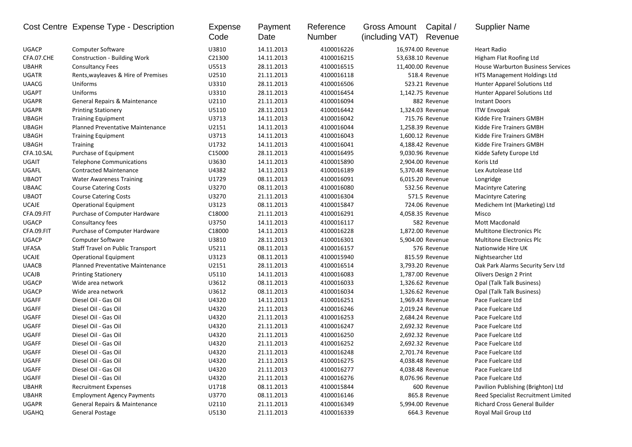|              | Cost Centre Expense Type - Description   | <b>Expense</b><br>Code | Payment<br>Date | Reference<br>Number | <b>Gross Amount</b><br>(including VAT) | Capital /<br>Revenue | <b>Supplier Name</b>                     |
|--------------|------------------------------------------|------------------------|-----------------|---------------------|----------------------------------------|----------------------|------------------------------------------|
| <b>UGACP</b> | <b>Computer Software</b>                 | U3810                  | 14.11.2013      | 4100016226          |                                        | 16,974.00 Revenue    | <b>Heart Radio</b>                       |
| CFA.07.CHE   | Construction - Building Work             | C21300                 | 14.11.2013      | 4100016215          |                                        | 53,638.10 Revenue    | Higham Flat Roofing Ltd                  |
| <b>UBAHR</b> | <b>Consultancy Fees</b>                  | U5513                  | 28.11.2013      | 4100016515          |                                        | 11,400.00 Revenue    | <b>House Warburton Business Services</b> |
| <b>UGATR</b> | Rents, wayleaves & Hire of Premises      | U2510                  | 21.11.2013      | 4100016118          |                                        | 518.4 Revenue        | HTS Management Holdings Ltd              |
| <b>UAACG</b> | Uniforms                                 | U3310                  | 28.11.2013      | 4100016506          |                                        | 523.21 Revenue       | Hunter Apparel Solutions Ltd             |
| <b>UGAPT</b> | Uniforms                                 | U3310                  | 28.11.2013      | 4100016454          |                                        | 1,142.75 Revenue     | Hunter Apparel Solutions Ltd             |
| <b>UGAPR</b> | <b>General Repairs &amp; Maintenance</b> | U2110                  | 21.11.2013      | 4100016094          |                                        | 882 Revenue          | <b>Instant Doors</b>                     |
| <b>UGAPR</b> | <b>Printing Stationery</b>               | U5110                  | 28.11.2013      | 4100016442          |                                        | 1,324.03 Revenue     | <b>ITW Envopak</b>                       |
| <b>UBAGH</b> | <b>Training Equipment</b>                | U3713                  | 14.11.2013      | 4100016042          |                                        | 715.76 Revenue       | Kidde Fire Trainers GMBH                 |
| <b>UBAGH</b> | Planned Preventative Maintenance         | U2151                  | 14.11.2013      | 4100016044          |                                        | 1,258.39 Revenue     | Kidde Fire Trainers GMBH                 |
| <b>UBAGH</b> | <b>Training Equipment</b>                | U3713                  | 14.11.2013      | 4100016043          |                                        | 1,600.12 Revenue     | Kidde Fire Trainers GMBH                 |
| <b>UBAGH</b> | Training                                 | U1732                  | 14.11.2013      | 4100016041          |                                        | 4,188.42 Revenue     | Kidde Fire Trainers GMBH                 |
| CFA.10.SAL   | Purchase of Equipment                    | C15000                 | 28.11.2013      | 4100016495          |                                        | 9,030.96 Revenue     | Kidde Safety Europe Ltd                  |
| <b>UGAIT</b> | <b>Telephone Communications</b>          | U3630                  | 14.11.2013      | 4100015890          |                                        | 2,904.00 Revenue     | Koris Ltd                                |
| UGAFL        | <b>Contracted Maintenance</b>            | U4382                  | 14.11.2013      | 4100016189          |                                        | 5,370.48 Revenue     | Lex Autolease Ltd                        |
| <b>UBAOT</b> | <b>Water Awareness Training</b>          | U1729                  | 08.11.2013      | 4100016091          |                                        | 6,015.20 Revenue     | Longridge                                |
| <b>UBAAC</b> | <b>Course Catering Costs</b>             | U3270                  | 08.11.2013      | 4100016080          |                                        | 532.56 Revenue       | <b>Macintyre Catering</b>                |
| <b>UBAOT</b> | <b>Course Catering Costs</b>             | U3270                  | 21.11.2013      | 4100016304          |                                        | 571.5 Revenue        | <b>Macintyre Catering</b>                |
| <b>UCAJE</b> | <b>Operational Equipment</b>             | U3123                  | 08.11.2013      | 4100015847          |                                        | 724.06 Revenue       | Medichem Int (Marketing) Ltd             |
| CFA.09.FIT   | Purchase of Computer Hardware            | C18000                 | 21.11.2013      | 4100016291          |                                        | 4,058.35 Revenue     | Misco                                    |
| <b>UGACP</b> | Consultancy fees                         | U3750                  | 14.11.2013      | 4100016117          |                                        | 582 Revenue          | Mott Macdonald                           |
| CFA.09.FIT   | Purchase of Computer Hardware            | C18000                 | 14.11.2013      | 4100016228          |                                        | 1,872.00 Revenue     | <b>Multitone Electronics Plc</b>         |
| <b>UGACP</b> | <b>Computer Software</b>                 | U3810                  | 28.11.2013      | 4100016301          |                                        | 5,904.00 Revenue     | <b>Multitone Electronics Plc</b>         |
| <b>UFASA</b> | Staff Travel on Public Transport         | U5211                  | 08.11.2013      | 4100016157          |                                        | 576 Revenue          | Nationwide Hire UK                       |
| <b>UCAJE</b> | <b>Operational Equipment</b>             | U3123                  | 08.11.2013      | 4100015940          |                                        | 815.59 Revenue       | Nightsearcher Ltd                        |
| <b>UAACB</b> | Planned Preventative Maintenance         | U2151                  | 28.11.2013      | 4100016514          |                                        | 3,793.20 Revenue     | Oak Park Alarms Security Serv Ltd        |
| <b>UCAJB</b> | <b>Printing Stationery</b>               | U5110                  | 14.11.2013      | 4100016083          |                                        | 1,787.00 Revenue     | Olivers Design 2 Print                   |
| <b>UGACP</b> | Wide area network                        | U3612                  | 08.11.2013      | 4100016033          |                                        | 1,326.62 Revenue     | Opal (Talk Talk Business)                |
| <b>UGACP</b> | Wide area network                        | U3612                  | 08.11.2013      | 4100016034          |                                        | 1,326.62 Revenue     | Opal (Talk Talk Business)                |
| UGAFF        | Diesel Oil - Gas Oil                     | U4320                  | 14.11.2013      | 4100016251          |                                        | 1,969.43 Revenue     | Pace Fuelcare Ltd                        |
| <b>UGAFF</b> | Diesel Oil - Gas Oil                     | U4320                  | 21.11.2013      | 4100016246          |                                        | 2,019.24 Revenue     | Pace Fuelcare Ltd                        |
| <b>UGAFF</b> | Diesel Oil - Gas Oil                     | U4320                  | 21.11.2013      | 4100016253          |                                        | 2,684.24 Revenue     | Pace Fuelcare Ltd                        |
| UGAFF        | Diesel Oil - Gas Oil                     | U4320                  | 21.11.2013      | 4100016247          |                                        | 2,692.32 Revenue     | Pace Fuelcare Ltd                        |
| <b>UGAFF</b> | Diesel Oil - Gas Oil                     | U4320                  | 21.11.2013      | 4100016250          |                                        | 2,692.32 Revenue     | Pace Fuelcare Ltd                        |
| <b>UGAFF</b> | Diesel Oil - Gas Oil                     | U4320                  | 21.11.2013      | 4100016252          |                                        | 2,692.32 Revenue     | Pace Fuelcare Ltd                        |
| <b>UGAFF</b> | Diesel Oil - Gas Oil                     | U4320                  | 21.11.2013      | 4100016248          |                                        | 2,701.74 Revenue     | Pace Fuelcare Ltd                        |
| UGAFF        | Diesel Oil - Gas Oil                     | U4320                  | 21.11.2013      | 4100016275          |                                        | 4,038.48 Revenue     | Pace Fuelcare Ltd                        |
| UGAFF        | Diesel Oil - Gas Oil                     | U4320                  | 21.11.2013      | 4100016277          |                                        | 4,038.48 Revenue     | Pace Fuelcare Ltd                        |
| UGAFF        | Diesel Oil - Gas Oil                     | U4320                  | 21.11.2013      | 4100016276          |                                        | 8,076.96 Revenue     | Pace Fuelcare Ltd                        |
| <b>UBAHR</b> | <b>Recruitment Expenses</b>              | U1718                  | 08.11.2013      | 4100015844          |                                        | 600 Revenue          | Pavilion Publishing (Brighton) Ltd       |
| <b>UBAHR</b> | <b>Employment Agency Payments</b>        | U3770                  | 08.11.2013      | 4100016146          |                                        | 865.8 Revenue        | Reed Specialist Recruitment Limited      |
| <b>UGAPR</b> | General Repairs & Maintenance            | U2110                  | 21.11.2013      | 4100016349          |                                        | 5,994.00 Revenue     | <b>Richard Cross General Builder</b>     |
| <b>UGAHQ</b> | <b>General Postage</b>                   | U5130                  | 21.11.2013      | 4100016339          |                                        | 664.3 Revenue        | Royal Mail Group Ltd                     |